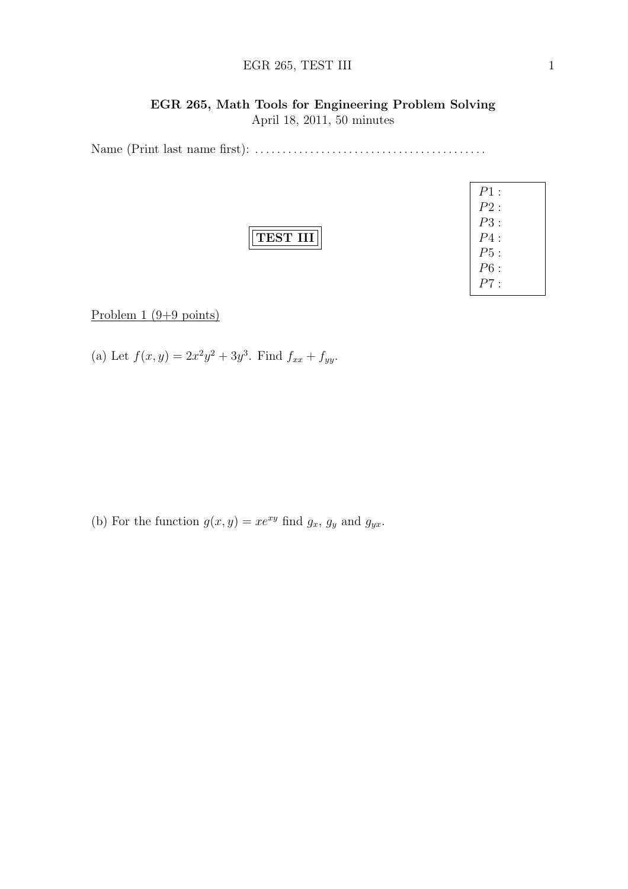### EGR 265, TEST III 1

### EGR 265, Math Tools for Engineering Problem Solving

April 18, 2011, 50 minutes

Name (Print last name first): . . . . . . . . . . . . . . . . . . . . . . . . . . . . . . . . . . . . . . . . . .

|--|

| $P1$ : |  |
|--------|--|
| P2:    |  |
| P3 :   |  |
| P4:    |  |
| P5:    |  |
| P6:    |  |
| P7 :   |  |

Problem  $1 (9+9 \text{ points})$ 

(a) Let  $f(x, y) = 2x^2y^2 + 3y^3$ . Find  $f_{xx} + f_{yy}$ .

(b) For the function  $g(x, y) = xe^{xy}$  find  $g_x$ ,  $g_y$  and  $g_{yx}$ .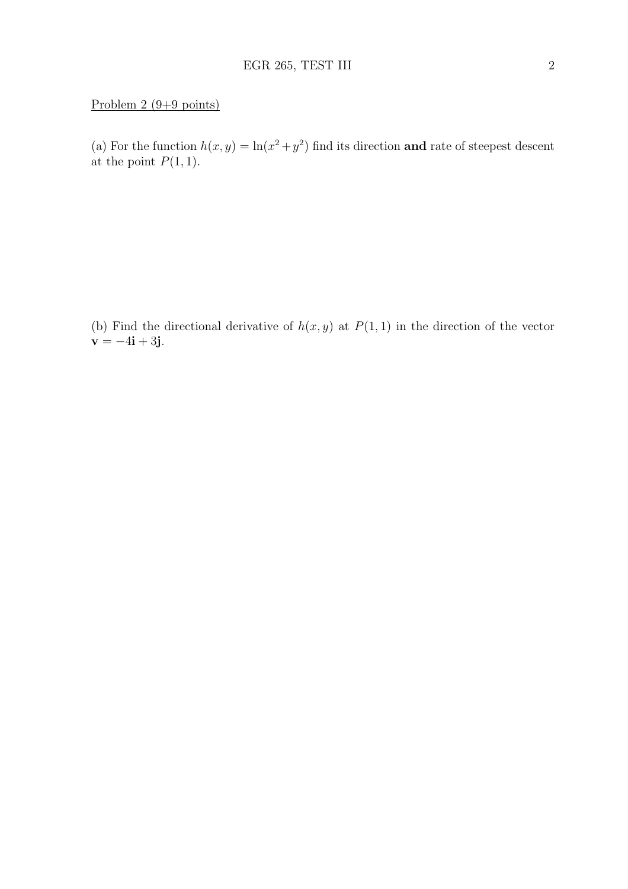# Problem 2 (9+9 points)

(a) For the function  $h(x, y) = \ln(x^2 + y^2)$  find its direction and rate of steepest descent at the point  $P(1, 1)$ .

(b) Find the directional derivative of  $h(x, y)$  at  $P(1, 1)$  in the direction of the vector **.**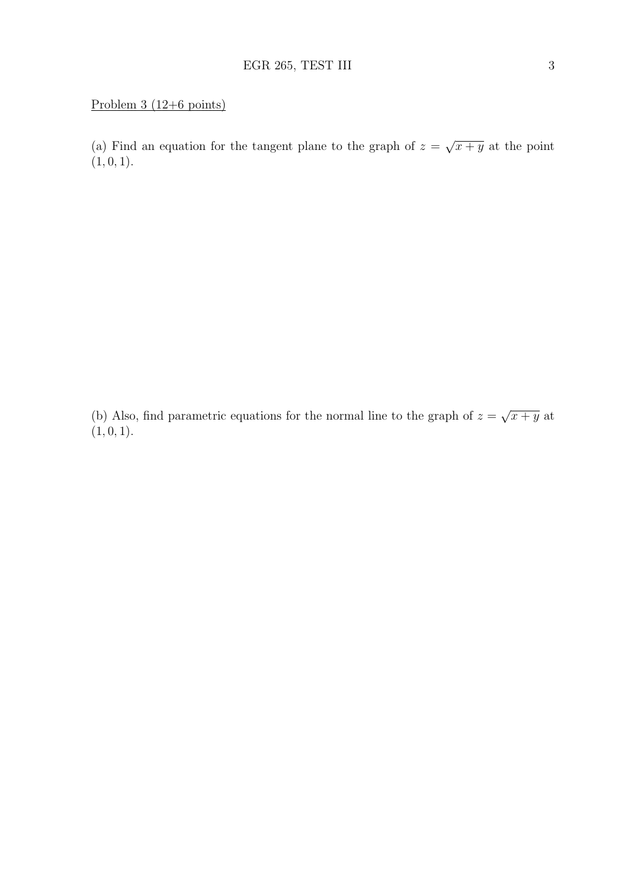(a) Find an equation for the tangent plane to the graph of  $z =$ √  $\overline{x+y}$  at the point  $(1, 0, 1).$ 

(b) Also, find parametric equations for the normal line to the graph of  $z =$ √  $\overline{x+y}$  at  $(1, 0, 1).$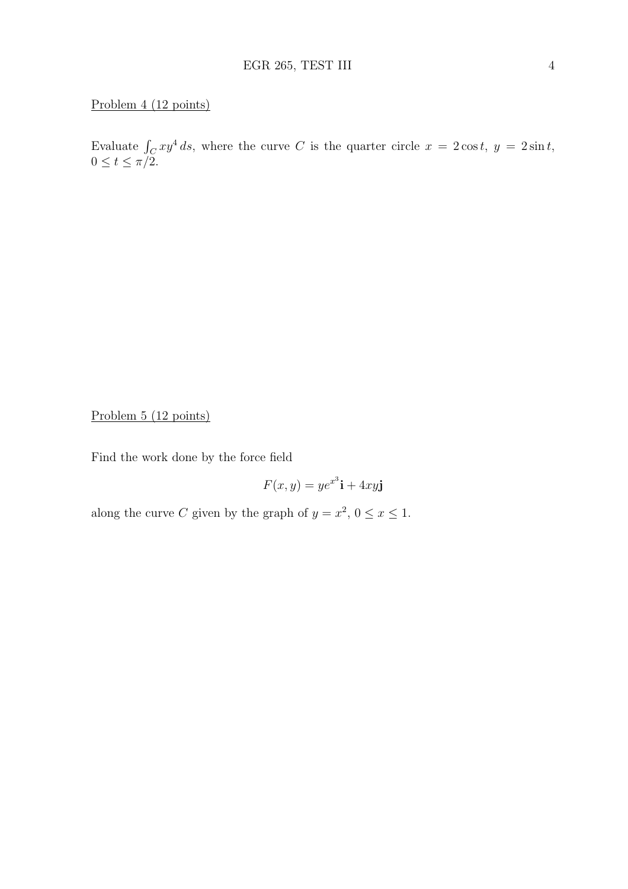# Problem 4 (12 points)

Evaluate  $\int_C xy^4 ds$ , where the curve C is the quarter circle  $x = 2\cos t$ ,  $y = 2\sin t$ ,  $0 \leq t \leq \pi/2$ .

Problem 5 (12 points)

Find the work done by the force field

$$
F(x, y) = ye^{x^3}\mathbf{i} + 4xy\mathbf{j}
$$

along the curve C given by the graph of  $y = x^2$ ,  $0 \le x \le 1$ .